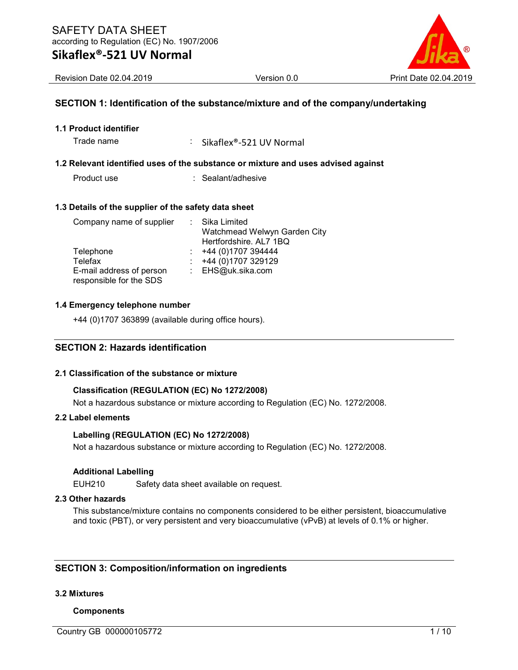### Sikaflex®-521 UV Normal



Revision Date 02.04.2019 Version 0.0 Print Date 02.04.2019

#### SECTION 1: Identification of the substance/mixture and of the company/undertaking

1.1 Product identifier

Trade name : Sikaflex®-521 UV Normal

#### 1.2 Relevant identified uses of the substance or mixture and uses advised against

Product use : Sealant/adhesive

#### 1.3 Details of the supplier of the safety data sheet

| Company name of supplier | : Sika Limited               |
|--------------------------|------------------------------|
|                          | Watchmead Welwyn Garden City |
|                          | Hertfordshire. AL7 1BQ       |
| Telephone                | +44 (0)1707 394444           |
| Telefax                  | +44 (0)1707 329129           |
| E-mail address of person | : EHS@uk.sika.com            |
| responsible for the SDS  |                              |

#### 1.4 Emergency telephone number

+44 (0)1707 363899 (available during office hours).

#### SECTION 2: Hazards identification

#### 2.1 Classification of the substance or mixture

#### Classification (REGULATION (EC) No 1272/2008)

Not a hazardous substance or mixture according to Regulation (EC) No. 1272/2008.

#### 2.2 Label elements

#### Labelling (REGULATION (EC) No 1272/2008)

Not a hazardous substance or mixture according to Regulation (EC) No. 1272/2008.

#### Additional Labelling

EUH210 Safety data sheet available on request.

#### 2.3 Other hazards

This substance/mixture contains no components considered to be either persistent, bioaccumulative and toxic (PBT), or very persistent and very bioaccumulative (vPvB) at levels of 0.1% or higher.

#### SECTION 3: Composition/information on ingredients

#### 3.2 Mixtures

#### Components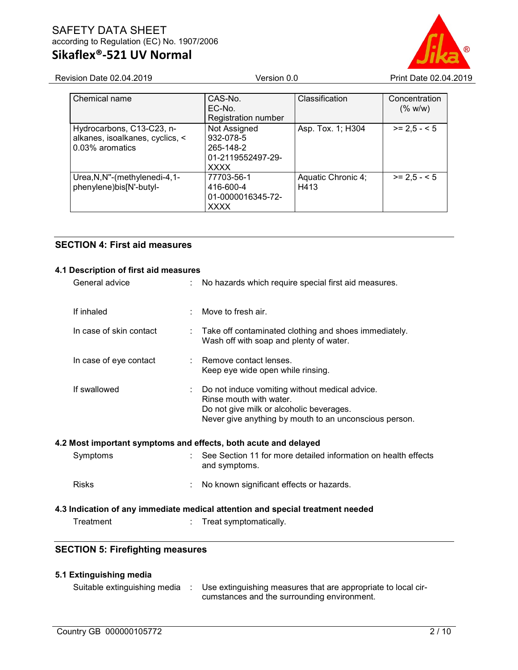# Sikaflex®-521 UV Normal

Revision Date 02.04.2019 Version 0.0 Version 0.0 Print Date 02.04.2019

| Chemical name                                                                   | CAS-No.<br>EC-No.<br><b>Registration number</b>                            | Classification             | Concentration<br>(% w/w) |
|---------------------------------------------------------------------------------|----------------------------------------------------------------------------|----------------------------|--------------------------|
| Hydrocarbons, C13-C23, n-<br>alkanes, isoalkanes, cyclics, <<br>0.03% aromatics | Not Assigned<br>932-078-5<br>265-148-2<br>01-2119552497-29-<br><b>XXXX</b> | Asp. Tox. 1; H304          | $>= 2.5 - 5$             |
| Urea, N, N"-(methylenedi-4, 1-<br>phenylene)bis[N'-butyl-                       | 77703-56-1<br>416-600-4<br>01-0000016345-72-<br><b>XXXX</b>                | Aquatic Chronic 4;<br>H413 | $>= 2.5 - 5.5$           |

### SECTION 4: First aid measures

#### 4.1 Description of first aid measures

| General advice                                                  |   | No hazards which require special first aid measures.                                                                                                                            |
|-----------------------------------------------------------------|---|---------------------------------------------------------------------------------------------------------------------------------------------------------------------------------|
| If inhaled                                                      |   | Move to fresh air.                                                                                                                                                              |
| In case of skin contact                                         | t | Take off contaminated clothing and shoes immediately.<br>Wash off with soap and plenty of water.                                                                                |
| In case of eye contact                                          |   | Remove contact lenses.<br>Keep eye wide open while rinsing.                                                                                                                     |
| If swallowed                                                    |   | Do not induce vomiting without medical advice.<br>Rinse mouth with water.<br>Do not give milk or alcoholic beverages.<br>Never give anything by mouth to an unconscious person. |
| 4.2 Most important symptoms and effects, both acute and delayed |   |                                                                                                                                                                                 |
| Symptoms                                                        |   | See Section 11 for more detailed information on health effects<br>and symptoms.                                                                                                 |
| <b>Risks</b>                                                    |   | No known significant effects or hazards.                                                                                                                                        |
|                                                                 |   | 4.3 Indication of any immediate medical attention and special treatment needed                                                                                                  |
| Treatment                                                       |   | Treat symptomatically.                                                                                                                                                          |
| <b>SECTION 5: Firefighting measures</b>                         |   |                                                                                                                                                                                 |
| 5.1 Extinguishing media                                         |   |                                                                                                                                                                                 |
| Suitable extinguishing media                                    | ÷ | Use extinguishing measures that are appropriate to local cir-<br>cumstances and the surrounding environment.                                                                    |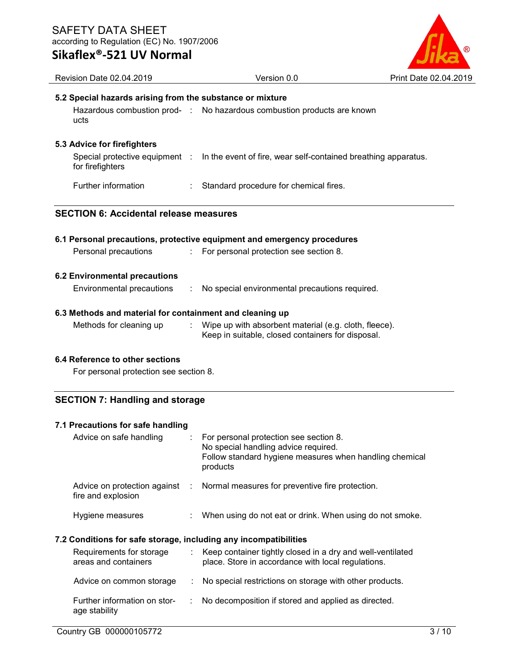### Sikaflex®-521 UV Normal



| Revision Date 02.04.2019                                  | Version 0.0                                                                                                                                           | Print Date 02.04.2019 |  |  |
|-----------------------------------------------------------|-------------------------------------------------------------------------------------------------------------------------------------------------------|-----------------------|--|--|
| 5.2 Special hazards arising from the substance or mixture |                                                                                                                                                       |                       |  |  |
| ucts                                                      | Hazardous combustion prod- : No hazardous combustion products are known                                                                               |                       |  |  |
| 5.3 Advice for firefighters                               |                                                                                                                                                       |                       |  |  |
| for firefighters                                          | Special protective equipment : In the event of fire, wear self-contained breathing apparatus.                                                         |                       |  |  |
| Further information                                       | Standard procedure for chemical fires.                                                                                                                |                       |  |  |
| <b>SECTION 6: Accidental release measures</b>             |                                                                                                                                                       |                       |  |  |
|                                                           | 6.1 Personal precautions, protective equipment and emergency procedures                                                                               |                       |  |  |
| Personal precautions<br>÷.                                | For personal protection see section 8.                                                                                                                |                       |  |  |
| <b>6.2 Environmental precautions</b>                      |                                                                                                                                                       |                       |  |  |
| Environmental precautions<br>÷                            | No special environmental precautions required.                                                                                                        |                       |  |  |
| 6.3 Methods and material for containment and cleaning up  |                                                                                                                                                       |                       |  |  |
| Methods for cleaning up                                   | Wipe up with absorbent material (e.g. cloth, fleece).<br>Keep in suitable, closed containers for disposal.                                            |                       |  |  |
| 6.4 Reference to other sections                           |                                                                                                                                                       |                       |  |  |
| For personal protection see section 8.                    |                                                                                                                                                       |                       |  |  |
| <b>SECTION 7: Handling and storage</b>                    |                                                                                                                                                       |                       |  |  |
| 7.1 Precautions for safe handling                         |                                                                                                                                                       |                       |  |  |
| Advice on safe handling<br>÷                              | For personal protection see section 8.<br>No special handling advice required.<br>Follow standard hygiene measures when handling chemical<br>products |                       |  |  |

Advice on protection against : Normal measures for preventive fire protection. fire and explosion

Hygiene measures : When using do not eat or drink. When using do not smoke.

### 7.2 Conditions for safe storage, including any incompatibilities

| Requirements for storage<br>areas and containers | Keep container tightly closed in a dry and well-ventilated<br>place. Store in accordance with local regulations. |
|--------------------------------------------------|------------------------------------------------------------------------------------------------------------------|
| Advice on common storage                         | : No special restrictions on storage with other products.                                                        |
| Further information on stor-<br>age stability    | : No decomposition if stored and applied as directed.                                                            |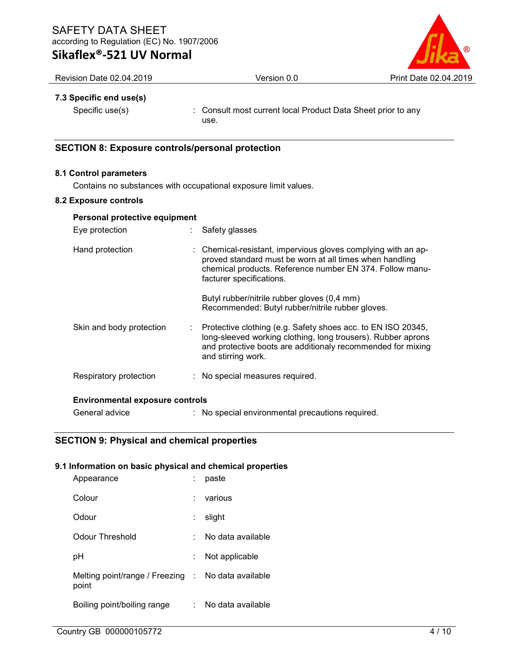# Sikaflex®-521 UV Normal



Revision Date 02.04.2019 Version 0.0 Version 0.0 Print Date 02.04.2019

#### 7.3 Specific end use(s)

Specific use(s) : Consult most current local Product Data Sheet prior to any use.

#### SECTION 8: Exposure controls/personal protection

#### 8.1 Control parameters

Contains no substances with occupational exposure limit values.

#### 8.2 Exposure controls

| Personal protective equipment          |                                                                                                                                                                                                                   |  |  |
|----------------------------------------|-------------------------------------------------------------------------------------------------------------------------------------------------------------------------------------------------------------------|--|--|
| Eye protection                         | Safety glasses                                                                                                                                                                                                    |  |  |
| Hand protection                        | : Chemical-resistant, impervious gloves complying with an ap-<br>proved standard must be worn at all times when handling<br>chemical products. Reference number EN 374. Follow manu-<br>facturer specifications.  |  |  |
|                                        | Butyl rubber/nitrile rubber gloves (0,4 mm)<br>Recommended: Butyl rubber/nitrile rubber gloves.                                                                                                                   |  |  |
| Skin and body protection<br>t.         | Protective clothing (e.g. Safety shoes acc. to EN ISO 20345,<br>long-sleeved working clothing, long trousers). Rubber aprons<br>and protective boots are additionaly recommended for mixing<br>and stirring work. |  |  |
| Respiratory protection                 | : No special measures required.                                                                                                                                                                                   |  |  |
| <b>Environmental exposure controls</b> |                                                                                                                                                                                                                   |  |  |
| General advice                         | : No special environmental precautions required.                                                                                                                                                                  |  |  |

### SECTION 9: Physical and chemical properties

#### 9.1 Information on basic physical and chemical properties

| Appearance                                                  |    | paste             |
|-------------------------------------------------------------|----|-------------------|
| Colour                                                      |    | various           |
| Odour                                                       | ÷. | slight            |
| Odour Threshold                                             |    | No data available |
| рH                                                          |    | Not applicable    |
| Melting point/range / Freezing : No data available<br>point |    |                   |
| Boiling point/boiling range                                 |    | No data available |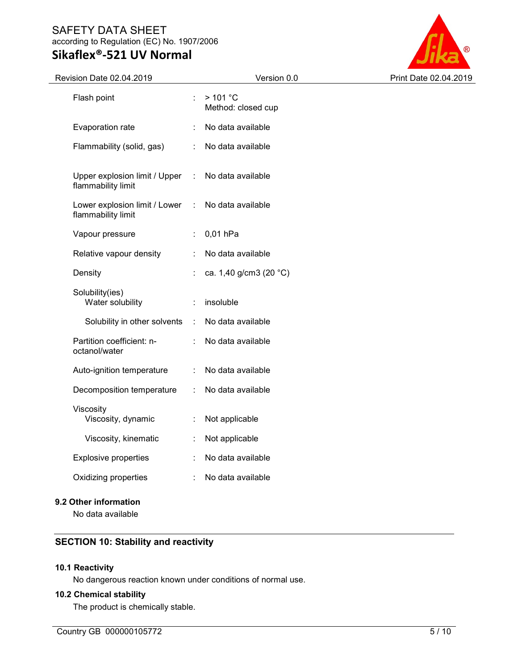# Sikaflex®-521 UV Normal



| <b>Revision Date 02.04.2019</b>                     |                     | Version 0.0                   | Print Date 02.04.2019 |
|-----------------------------------------------------|---------------------|-------------------------------|-----------------------|
| Flash point                                         | ÷.                  | >101 °C<br>Method: closed cup |                       |
| Evaporation rate                                    |                     | No data available             |                       |
| Flammability (solid, gas)                           | ÷                   | No data available             |                       |
| Upper explosion limit / Upper<br>flammability limit | $\mathcal{L}^{\pm}$ | No data available             |                       |
| Lower explosion limit / Lower<br>flammability limit | $\mathbb{R}^n$      | No data available             |                       |
| Vapour pressure                                     | ÷.                  | 0,01 hPa                      |                       |
| Relative vapour density                             |                     | No data available             |                       |
| Density                                             |                     | ca. 1,40 g/cm3 (20 °C)        |                       |
| Solubility(ies)<br>Water solubility                 | ÷                   | insoluble                     |                       |
| Solubility in other solvents                        | $\mathcal{L}$       | No data available             |                       |
| Partition coefficient: n-<br>octanol/water          | ÷                   | No data available             |                       |
| Auto-ignition temperature                           | ÷                   | No data available             |                       |
| Decomposition temperature                           | ÷                   | No data available             |                       |
| Viscosity<br>Viscosity, dynamic                     | ÷                   | Not applicable                |                       |
| Viscosity, kinematic                                | ÷                   | Not applicable                |                       |
| <b>Explosive properties</b>                         | ÷                   | No data available             |                       |
| Oxidizing properties                                |                     | No data available             |                       |
|                                                     |                     |                               |                       |

### 9.2 Other information

No data available

### SECTION 10: Stability and reactivity

#### 10.1 Reactivity

No dangerous reaction known under conditions of normal use.

#### 10.2 Chemical stability

The product is chemically stable.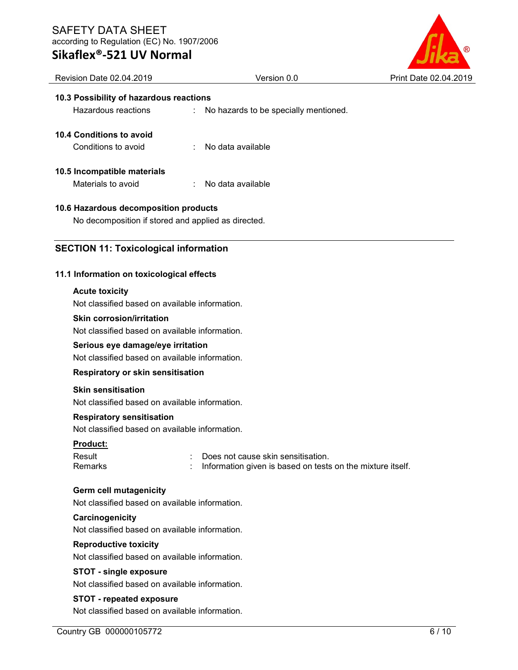# Sikaflex®-521 UV Normal



# Revision Date 02.04.2019 Version 0.0 Print Date 02.04.2019 10.3 Possibility of hazardous reactions Hazardous reactions : No hazards to be specially mentioned. 10.4 Conditions to avoid Conditions to avoid : No data available 10.5 Incompatible materials Materials to avoid : No data available 10.6 Hazardous decomposition products No decomposition if stored and applied as directed. SECTION 11: Toxicological information 11.1 Information on toxicological effects Acute toxicity Not classified based on available information. Skin corrosion/irritation Not classified based on available information. Serious eye damage/eye irritation Not classified based on available information. Respiratory or skin sensitisation Skin sensitisation Not classified based on available information. Respiratory sensitisation Not classified based on available information. Product: Result : Does not cause skin sensitisation. Remarks : Information given is based on tests on the mixture itself. Germ cell mutagenicity Not classified based on available information. **Carcinogenicity** Not classified based on available information. Reproductive toxicity Not classified based on available information. STOT - single exposure Not classified based on available information. STOT - repeated exposure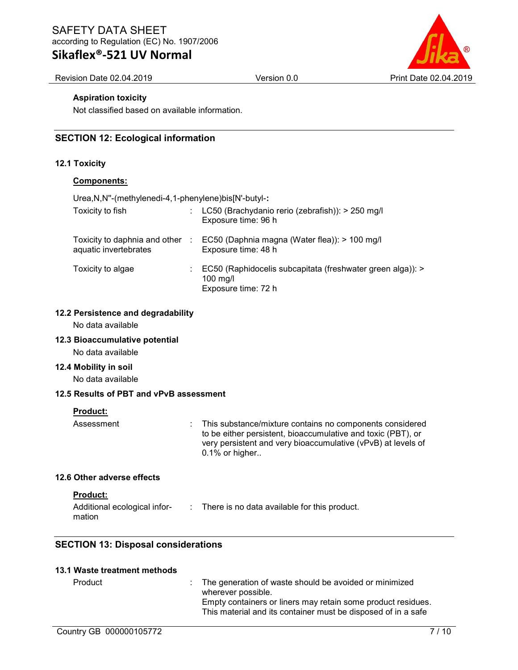## Sikaflex®-521 UV Normal

Revision Date 02.04.2019 Version 0.0 Print Date 02.04.2019

#### Aspiration toxicity

Not classified based on available information.

#### SECTION 12: Ecological information

#### 12.1 Toxicity

#### Components:

Urea,N,N''-(methylenedi-4,1-phenylene)bis[N'-butyl-:

| Toxicity to fish      |    | LC50 (Brachydanio rerio (zebrafish)): > 250 mg/l<br>Exposure time: 96 h                              |
|-----------------------|----|------------------------------------------------------------------------------------------------------|
| aquatic invertebrates |    | Toxicity to daphnia and other : EC50 (Daphnia magna (Water flea)): > 100 mg/l<br>Exposure time: 48 h |
| Toxicity to algae     | ÷. | EC50 (Raphidocelis subcapitata (freshwater green alga)): ><br>$100$ mg/l<br>Exposure time: 72 h      |

#### 12.2 Persistence and degradability

No data available

#### 12.3 Bioaccumulative potential

No data available

#### 12.4 Mobility in soil

No data available

### 12.5 Results of PBT and vPvB assessment

#### Product:

Assessment : This substance/mixture contains no components considered to be either persistent, bioaccumulative and toxic (PBT), or very persistent and very bioaccumulative (vPvB) at levels of 0.1% or higher..

#### 12.6 Other adverse effects

#### Product:

| Additional ecological infor- | There is no data available for this product. |
|------------------------------|----------------------------------------------|
| mation                       |                                              |

### SECTION 13: Disposal considerations

#### 13.1 Waste treatment methods

| : The generation of waste should be avoided or minimized      |
|---------------------------------------------------------------|
| wherever possible.                                            |
| Empty containers or liners may retain some product residues.  |
| This material and its container must be disposed of in a safe |
|                                                               |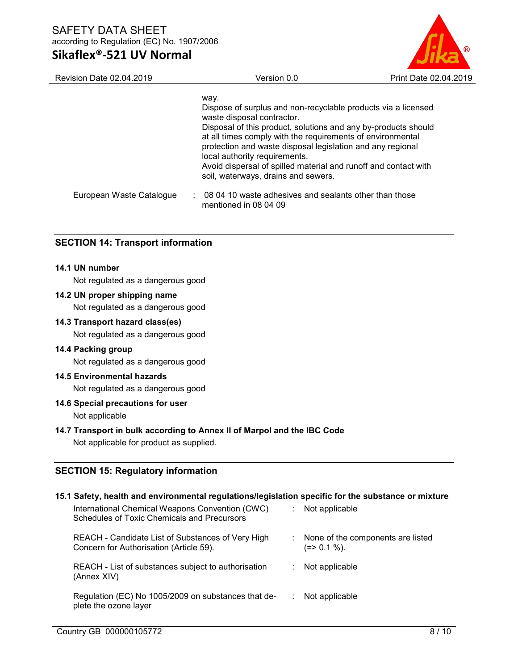### Sikaflex®-521 UV Normal

| <b>Revision Date 02.04.2019</b> | Version 0.0                                                                                                                                                                                                                                                                                                                                                                                                                                  | Print Date 02.04.2019 |
|---------------------------------|----------------------------------------------------------------------------------------------------------------------------------------------------------------------------------------------------------------------------------------------------------------------------------------------------------------------------------------------------------------------------------------------------------------------------------------------|-----------------------|
|                                 | way.<br>Dispose of surplus and non-recyclable products via a licensed<br>waste disposal contractor.<br>Disposal of this product, solutions and any by-products should<br>at all times comply with the requirements of environmental<br>protection and waste disposal legislation and any regional<br>local authority requirements.<br>Avoid dispersal of spilled material and runoff and contact with<br>soil, waterways, drains and sewers. |                       |
| European Waste Catalogue        | 08.04.10 waste adhesives and sealants other than those<br>mentioned in 08 04 09                                                                                                                                                                                                                                                                                                                                                              |                       |

#### SECTION 14: Transport information

#### 14.1 UN number

Not regulated as a dangerous good

#### 14.2 UN proper shipping name

Not regulated as a dangerous good

#### 14.3 Transport hazard class(es)

Not regulated as a dangerous good

#### 14.4 Packing group

Not regulated as a dangerous good

#### 14.5 Environmental hazards

Not regulated as a dangerous good

#### 14.6 Special precautions for user

Not applicable

#### 14.7 Transport in bulk according to Annex II of Marpol and the IBC Code

Not applicable for product as supplied.

#### SECTION 15: Regulatory information

#### 15.1 Safety, health and environmental regulations/legislation specific for the substance or mixture International Chemical Weapons Convention (CWC) Schedules of Toxic Chemicals and Precursors : Not applicable REACH - Candidate List of Substances of Very High Concern for Authorisation (Article 59). : None of the components are listed  $(=> 0.1 \%)$ . REACH - List of substances subject to authorisation (Annex XIV) : Not applicable Regulation (EC) No 1005/2009 on substances that deplete the ozone layer : Not applicable

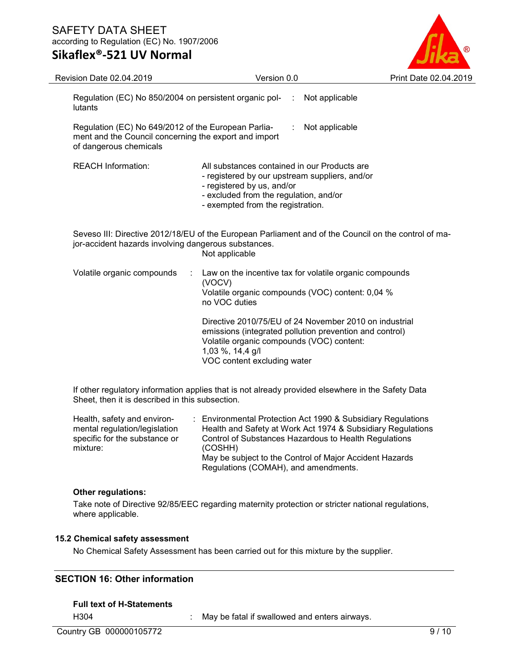### Sikaflex®-521 UV Normal



| <b>Revision Date 02.04.2019</b>                                                                                                        | Version 0.0                                                                                                                                                                                                       | Print Date 02.04.2019 |
|----------------------------------------------------------------------------------------------------------------------------------------|-------------------------------------------------------------------------------------------------------------------------------------------------------------------------------------------------------------------|-----------------------|
| Regulation (EC) No 850/2004 on persistent organic pol-<br>lutants                                                                      | Not applicable<br>÷                                                                                                                                                                                               |                       |
| Regulation (EC) No 649/2012 of the European Parlia-<br>ment and the Council concerning the export and import<br>of dangerous chemicals | Not applicable                                                                                                                                                                                                    |                       |
| <b>REACH Information:</b>                                                                                                              | All substances contained in our Products are<br>- registered by our upstream suppliers, and/or<br>- registered by us, and/or<br>- excluded from the regulation, and/or<br>- exempted from the registration.       |                       |
| jor-accident hazards involving dangerous substances.                                                                                   | Seveso III: Directive 2012/18/EU of the European Parliament and of the Council on the control of ma-<br>Not applicable                                                                                            |                       |
| Volatile organic compounds<br>÷                                                                                                        | Law on the incentive tax for volatile organic compounds<br>(VOCV)<br>Volatile organic compounds (VOC) content: 0,04 %<br>no VOC duties                                                                            |                       |
|                                                                                                                                        | Directive 2010/75/EU of 24 November 2010 on industrial<br>emissions (integrated pollution prevention and control)<br>Volatile organic compounds (VOC) content:<br>1,03 %, 14,4 g/l<br>VOC content excluding water |                       |
|                                                                                                                                        |                                                                                                                                                                                                                   |                       |

If other regulatory information applies that is not already provided elsewhere in the Safety Data Sheet, then it is described in this subsection.

Health, safety and environmental regulation/legislation specific for the substance or mixture: : Environmental Protection Act 1990 & Subsidiary Regulations Health and Safety at Work Act 1974 & Subsidiary Regulations Control of Substances Hazardous to Health Regulations (COSHH) May be subject to the Control of Major Accident Hazards Regulations (COMAH), and amendments.

### Other regulations:

Take note of Directive 92/85/EEC regarding maternity protection or stricter national regulations, where applicable.

### 15.2 Chemical safety assessment

No Chemical Safety Assessment has been carried out for this mixture by the supplier.

### SECTION 16: Other information

### Full text of H-Statements

H304 : May be fatal if swallowed and enters airways.